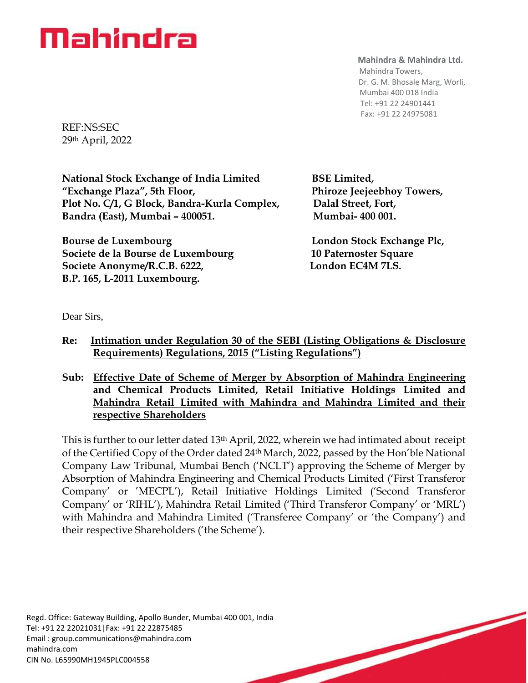#### **Mahindra & Mahindra Ltd.**

 Mahindra Towers, Dr. G. M. Bhosale Marg, Worli, Mumbai 400 018 India Tel: +91 22 24901441 Fax: +91 22 24975081

REF:NS:SEC 29th April, 2022

**National Stock Exchange of India Limited BSE Limited, "Exchange Plaza", 5th Floor, Phiroze Jeejeebhoy Towers,** Plot No. C/1, G Block, Bandra-Kurla Complex, Dalal Street, Fort, **Bandra (East), Mumbai – 400051. Mumbai- 400 001.**

**Bourse de Luxembourg London Stock Exchange Plc, Exchange Plc, Response Associates Societe de la Bourse de Luxembourg 10 Paternoster Square** Societe Anonyme/R.C.B. 6222, London EC4M 7LS. **B.P. 165, L-2011 Luxembourg.**

Dear Sirs,

- **Re: Intimation under Regulation 30 of the SEBI (Listing Obligations & Disclosure Requirements) Regulations, 2015 ("Listing Regulations")**
- **Sub: Effective Date of Scheme of Merger by Absorption of Mahindra Engineering and Chemical Products Limited, Retail Initiative Holdings Limited and Mahindra Retail Limited with Mahindra and Mahindra Limited and their respective Shareholders**

This is further to our letter dated 13<sup>th</sup> April, 2022, wherein we had intimated about receipt of the Certified Copy of the Order dated 24th March, 2022, passed by the Hon'ble National Company Law Tribunal, Mumbai Bench ('NCLT') approving the Scheme of Merger by Absorption of Mahindra Engineering and Chemical Products Limited ('First Transferor Company' or 'MECPL'), Retail Initiative Holdings Limited ('Second Transferor Company' or 'RIHL'), Mahindra Retail Limited ('Third Transferor Company' or 'MRL') with Mahindra and Mahindra Limited ('Transferee Company' or 'the Company') and their respective Shareholders ('the Scheme').

Regd. Office: Gateway Building, Apollo Bunder, Mumbai 400 001, India Tel: +91 22 22021031|Fax: +91 22 22875485 Email : [group.communications@mahindra.com](mailto:group.communications@mahindra.com) mahindra.com CIN No. L65990MH1945PLC004558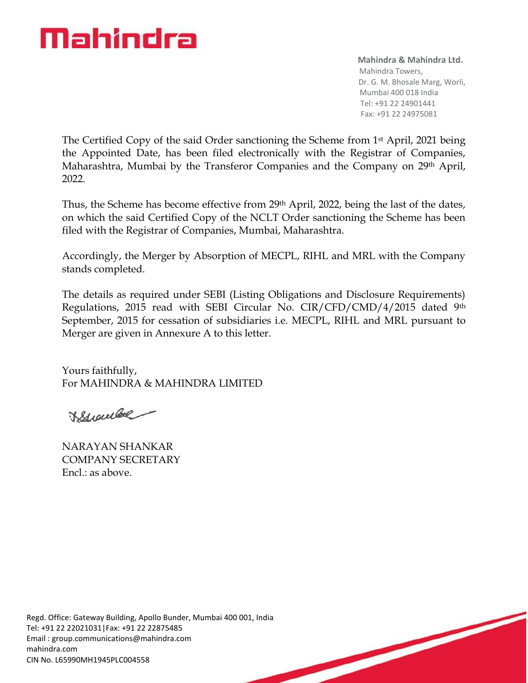**Mahindra & Mahindra Ltd.** Mahindra Towers, Dr. G. M. Bhosale Marg, Worli, Mumbai 400 018 India Tel: +91 22 24901441 Fax: +91 22 24975081

The Certified Copy of the said Order sanctioning the Scheme from 1st April, 2021 being the Appointed Date, has been filed electronically with the Registrar of Companies, Maharashtra, Mumbai by the Transferor Companies and the Company on 29<sup>th</sup> April, 2022.

Thus, the Scheme has become effective from 29<sup>th</sup> April, 2022, being the last of the dates, on which the said Certified Copy of the NCLT Order sanctioning the Scheme has been filed with the Registrar of Companies, Mumbai, Maharashtra.

Accordingly, the Merger by Absorption of MECPL, RIHL and MRL with the Company stands completed.

The details as required under SEBI (Listing Obligations and Disclosure Requirements) Regulations, 2015 read with SEBI Circular No. CIR/CFD/CMD/4/2015 dated 9th September, 2015 for cessation of subsidiaries i.e. MECPL, RIHL and MRL pursuant to Merger are given in Annexure A to this letter.

Yours faithfully, For MAHINDRA & MAHINDRA LIMITED

VStrauber

NARAYAN SHANKAR COMPANY SECRETARY Encl.: as above.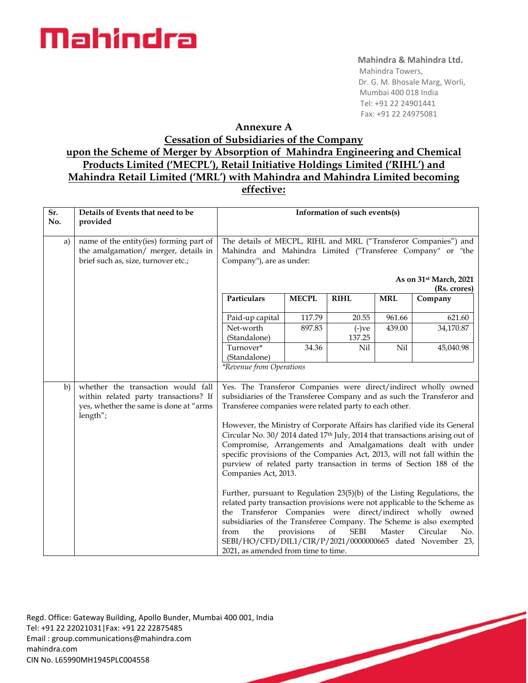#### **Mahindra & Mahindra Ltd.**

 Mahindra Towers, Dr. G. M. Bhosale Marg, Worli, Mumbai 400 018 India Tel: +91 22 24901441 Fax: +91 22 24975081

### **Annexure A**

### **Cessation of Subsidiaries of the Company upon the Scheme of Merger by Absorption of Mahindra Engineering and Chemical Products Limited ('MECPL'), Retail Initiative Holdings Limited ('RIHL') and Mahindra Retail Limited ('MRL') with Mahindra and Mahindra Limited becoming effective:**

| Sr.<br>No. | Details of Events that need to be<br>provided                                                                                     | Information of such events(s)                                                                                                                                                                                                                                                                                                                                                                                                                                                                                                                                                    |              |                    |            |           |
|------------|-----------------------------------------------------------------------------------------------------------------------------------|----------------------------------------------------------------------------------------------------------------------------------------------------------------------------------------------------------------------------------------------------------------------------------------------------------------------------------------------------------------------------------------------------------------------------------------------------------------------------------------------------------------------------------------------------------------------------------|--------------|--------------------|------------|-----------|
| a)         | name of the entity(ies) forming part of<br>the amalgamation/ merger, details in<br>brief such as, size, turnover etc.;            | The details of MECPL, RIHL and MRL ("Transferor Companies") and<br>Mahindra and Mahindra Limited ("Transferee Company" or "the<br>Company"), are as under:<br>As on 31 <sup>st</sup> March, 2021                                                                                                                                                                                                                                                                                                                                                                                 |              |                    |            |           |
|            |                                                                                                                                   | (Rs. crores)                                                                                                                                                                                                                                                                                                                                                                                                                                                                                                                                                                     |              |                    |            |           |
|            |                                                                                                                                   | Particulars                                                                                                                                                                                                                                                                                                                                                                                                                                                                                                                                                                      | <b>MECPL</b> | <b>RIHL</b>        | <b>MRL</b> | Company   |
|            |                                                                                                                                   | Paid-up capital                                                                                                                                                                                                                                                                                                                                                                                                                                                                                                                                                                  | 117.79       | 20.55              | 961.66     | 621.60    |
|            |                                                                                                                                   | Net-worth<br>(Standalone)                                                                                                                                                                                                                                                                                                                                                                                                                                                                                                                                                        | 897.83       | $(-)$ ve<br>137.25 | 439.00     | 34,170.87 |
|            |                                                                                                                                   | Turnover*<br>(Standalone)                                                                                                                                                                                                                                                                                                                                                                                                                                                                                                                                                        | 34.36        | Nil                | Nil        | 45,040.98 |
|            |                                                                                                                                   | *Revenue from Operations                                                                                                                                                                                                                                                                                                                                                                                                                                                                                                                                                         |              |                    |            |           |
| b)         | whether the transaction would fall<br>within related party transactions? If<br>yes, whether the same is done at "arms<br>length"; | Yes. The Transferor Companies were direct/indirect wholly owned<br>subsidiaries of the Transferee Company and as such the Transferor and<br>Transferee companies were related party to each other.<br>However, the Ministry of Corporate Affairs has clarified vide its General<br>Circular No. 30/2014 dated 17th July, 2014 that transactions arising out of<br>Compromise, Arrangements and Amalgamations dealt with under<br>specific provisions of the Companies Act, 2013, will not fall within the<br>purview of related party transaction in terms of Section 188 of the |              |                    |            |           |
|            |                                                                                                                                   | Companies Act, 2013.<br>Further, pursuant to Regulation 23(5)(b) of the Listing Regulations, the<br>related party transaction provisions were not applicable to the Scheme as<br>the Transferor Companies were direct/indirect wholly owned<br>subsidiaries of the Transferee Company. The Scheme is also exempted<br>of<br>provisions<br><b>SEBI</b><br>Master<br>No.<br>the<br>Circular<br>from<br>SEBI/HO/CFD/DIL1/CIR/P/2021/0000000665 dated November 23,<br>2021, as amended from time to time.                                                                            |              |                    |            |           |
|            |                                                                                                                                   |                                                                                                                                                                                                                                                                                                                                                                                                                                                                                                                                                                                  |              |                    |            |           |

Regd. Office: Gateway Building, Apollo Bunder, Mumbai 400 001, India Tel: +91 22 22021031|Fax: +91 22 22875485 Email : [group.communications@mahindra.com](mailto:group.communications@mahindra.com) mahindra.com CIN No. L65990MH1945PLC004558